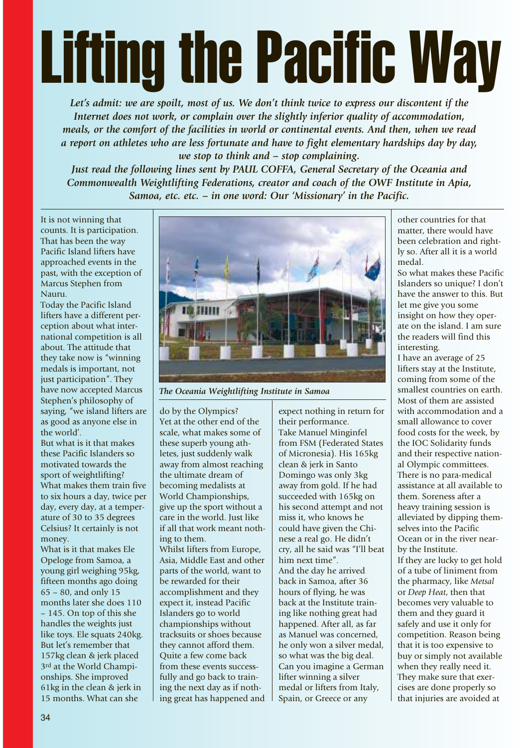## Lifting the Pacific Way

*Let's admit: we are spoilt, most of us. We don't think twice to express our discontent if the Internet does not work, or complain over the slightly inferior quality of accommodation, meals, or the comfort of the facilities in world or continental events. And then, when we read a report on athletes who are less fortunate and have to fight elementary hardships day by day, we stop to think and – stop complaining.*

*Just read the following lines sent by PAUL COFFA, General Secretary of the Oceania and Commonwealth Weightlifting Federations, creator and coach of the OWF Institute in Apia, Samoa, etc. etc. – in one word: Our 'Missionary' in the Pacific.*

It is not winning that counts. It is participation. That has been the way Pacific Island lifters have approached events in the past, with the exception of Marcus Stephen from Nauru.

Today the Pacific Island lifters have a different perception about what international competition is all about. The attitude that they take now is "winning medals is important, not just participation". They have now accepted Marcus Stephen's philosophy of saying, "we island lifters are as good as anyone else in the world'.

But what is it that makes these Pacific Islanders so motivated towards the sport of weightlifting? What makes them train five to six hours a day, twice per day, every day, at a temperature of 30 to 35 degrees Celsius? It certainly is not money.

What is it that makes Ele Opeloge from Samoa, a young girl weighing 95kg, fifteen months ago doing 65 – 80, and only 15 months later she does 110 – 145. On top of this she handles the weights just like toys. Ele squats 240kg. But let's remember that 157kg clean & jerk placed 3rd at the World Championships. She improved 61kg in the clean & jerk in 15 months. What can she



*The Oceania Weightlifting Institute in Samoa*

do by the Olympics? Yet at the other end of the scale, what makes some of these superb young athletes, just suddenly walk away from almost reaching the ultimate dream of becoming medalists at World Championships, give up the sport without a care in the world. Just like if all that work meant nothing to them. Whilst lifters from Europe, Asia, Middle East and other parts of the world, want to be rewarded for their accomplishment and they expect it, instead Pacific Islanders go to world championships without tracksuits or shoes because they cannot afford them. Quite a few come back from these events successfully and go back to training the next day as if nothing great has happened and

expect nothing in return for their performance. Take Manuel Minginfel from FSM (Federated States of Micronesia). His 165kg clean & jerk in Santo Domingo was only 3kg away from gold. If he had succeeded with 165kg on his second attempt and not miss it, who knows he could have given the Chinese a real go. He didn't cry, all he said was "I'll beat him next time". And the day he arrived back in Samoa, after 36 hours of flying, he was back at the Institute training like nothing great had happened. After all, as far as Manuel was concerned, he only won a silver medal, so what was the big deal. Can you imagine a German lifter winning a silver medal or lifters from Italy, Spain, or Greece or any

other countries for that matter, there would have been celebration and rightly so. After all it is a world medal.

So what makes these Pacific Islanders so unique? I don't have the answer to this. But let me give you some insight on how they operate on the island. I am sure the readers will find this interesting.

I have an average of 25 lifters stay at the Institute, coming from some of the smallest countries on earth. Most of them are assisted with accommodation and a small allowance to cover food costs for the week, by the IOC Solidarity funds and their respective national Olympic committees. There is no para-medical assistance at all available to them. Soreness after a heavy training session is alleviated by dipping themselves into the Pacific Ocean or in the river nearby the Institute. If they are lucky to get hold of a tube of liniment from the pharmacy, like *Metsal* or *Deep Heat*, then that becomes very valuable to them and they guard it safely and use it only for competition. Reason being that it is too expensive to buy or simply not available when they really need it. They make sure that exercises are done properly so that injuries are avoided at